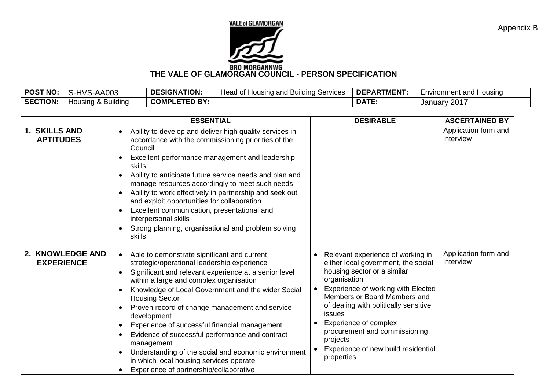

| <b>POST NO</b>  | S-HVS<br>'S-AA003  | <b>DESIGNATION:</b>  | Head<br>. Services<br><b>Housing and Building</b> | DEPARTMENT.  | Environment and Housing |
|-----------------|--------------------|----------------------|---------------------------------------------------|--------------|-------------------------|
| <b>SECTION:</b> | Housing & Building | <b>COMPLETED BY:</b> |                                                   | <b>DATE:</b> | /2017<br>January '      |

|                                       | <b>ESSENTIAL</b>                                                                                                                                                                                                                                                                                                                                                                                                                                                                                                                                                                                                                                      | <b>DESIRABLE</b>                                                                                                                                                                                                                                                                                                                                                            | <b>ASCERTAINED BY</b>             |
|---------------------------------------|-------------------------------------------------------------------------------------------------------------------------------------------------------------------------------------------------------------------------------------------------------------------------------------------------------------------------------------------------------------------------------------------------------------------------------------------------------------------------------------------------------------------------------------------------------------------------------------------------------------------------------------------------------|-----------------------------------------------------------------------------------------------------------------------------------------------------------------------------------------------------------------------------------------------------------------------------------------------------------------------------------------------------------------------------|-----------------------------------|
| 1. SKILLS AND<br><b>APTITUDES</b>     | Ability to develop and deliver high quality services in<br>$\bullet$<br>accordance with the commissioning priorities of the<br>Council<br>Excellent performance management and leadership<br>skills<br>Ability to anticipate future service needs and plan and<br>manage resources accordingly to meet such needs<br>Ability to work effectively in partnership and seek out<br>$\bullet$<br>and exploit opportunities for collaboration<br>Excellent communication, presentational and<br>interpersonal skills<br>Strong planning, organisational and problem solving<br>skills                                                                      |                                                                                                                                                                                                                                                                                                                                                                             | Application form and<br>interview |
| 2. KNOWLEDGE AND<br><b>EXPERIENCE</b> | Able to demonstrate significant and current<br>$\bullet$<br>strategic/operational leadership experience<br>Significant and relevant experience at a senior level<br>within a large and complex organisation<br>Knowledge of Local Government and the wider Social<br>$\bullet$<br><b>Housing Sector</b><br>Proven record of change management and service<br>development<br>Experience of successful financial management<br>$\bullet$<br>Evidence of successful performance and contract<br>management<br>Understanding of the social and economic environment<br>in which local housing services operate<br>Experience of partnership/collaborative | Relevant experience of working in<br>either local government, the social<br>housing sector or a similar<br>organisation<br>Experience of working with Elected<br>Members or Board Members and<br>of dealing with politically sensitive<br>issues<br>Experience of complex<br>procurement and commissioning<br>projects<br>Experience of new build residential<br>properties | Application form and<br>interview |

Appendix B